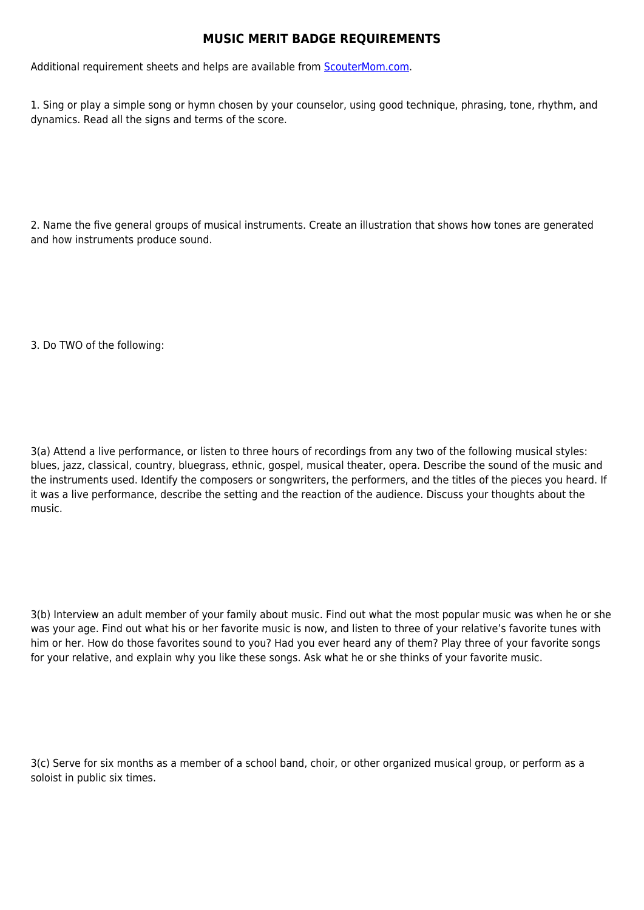## **MUSIC MERIT BADGE REQUIREMENTS**

Additional requirement sheets and helps are available from [ScouterMom.com](http://scoutermom.com).

1. Sing or play a simple song or hymn chosen by your counselor, using good technique, phrasing, tone, rhythm, and dynamics. Read all the signs and terms of the score.

2. Name the five general groups of musical instruments. Create an illustration that shows how tones are generated and how instruments produce sound.

3. Do TWO of the following:

3(a) Attend a live performance, or listen to three hours of recordings from any two of the following musical styles: blues, jazz, classical, country, bluegrass, ethnic, gospel, musical theater, opera. Describe the sound of the music and the instruments used. Identify the composers or songwriters, the performers, and the titles of the pieces you heard. If it was a live performance, describe the setting and the reaction of the audience. Discuss your thoughts about the music.

3(b) Interview an adult member of your family about music. Find out what the most popular music was when he or she was your age. Find out what his or her favorite music is now, and listen to three of your relative's favorite tunes with him or her. How do those favorites sound to you? Had you ever heard any of them? Play three of your favorite songs for your relative, and explain why you like these songs. Ask what he or she thinks of your favorite music.

3(c) Serve for six months as a member of a school band, choir, or other organized musical group, or perform as a soloist in public six times.